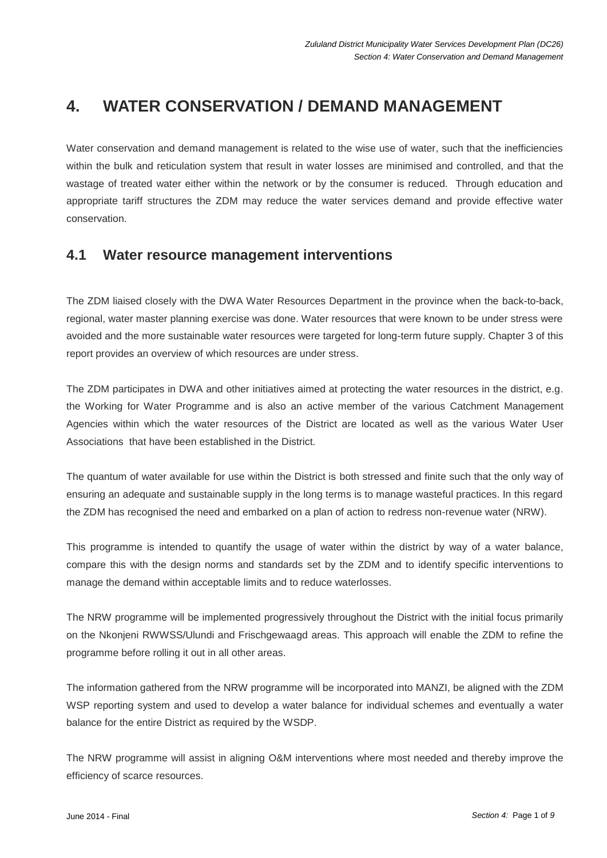# **4. WATER CONSERVATION / DEMAND MANAGEMENT**

Water conservation and demand management is related to the wise use of water, such that the inefficiencies within the bulk and reticulation system that result in water losses are minimised and controlled, and that the wastage of treated water either within the network or by the consumer is reduced. Through education and appropriate tariff structures the ZDM may reduce the water services demand and provide effective water conservation.

# **4.1 Water resource management interventions**

The ZDM liaised closely with the DWA Water Resources Department in the province when the back-to-back, regional, water master planning exercise was done. Water resources that were known to be under stress were avoided and the more sustainable water resources were targeted for long-term future supply. Chapter 3 of this report provides an overview of which resources are under stress.

The ZDM participates in DWA and other initiatives aimed at protecting the water resources in the district, e.g. the Working for Water Programme and is also an active member of the various Catchment Management Agencies within which the water resources of the District are located as well as the various Water User Associations that have been established in the District.

The quantum of water available for use within the District is both stressed and finite such that the only way of ensuring an adequate and sustainable supply in the long terms is to manage wasteful practices. In this regard the ZDM has recognised the need and embarked on a plan of action to redress non-revenue water (NRW).

This programme is intended to quantify the usage of water within the district by way of a water balance, compare this with the design norms and standards set by the ZDM and to identify specific interventions to manage the demand within acceptable limits and to reduce waterlosses.

The NRW programme will be implemented progressively throughout the District with the initial focus primarily on the Nkonjeni RWWSS/Ulundi and Frischgewaagd areas. This approach will enable the ZDM to refine the programme before rolling it out in all other areas.

The information gathered from the NRW programme will be incorporated into MANZI, be aligned with the ZDM WSP reporting system and used to develop a water balance for individual schemes and eventually a water balance for the entire District as required by the WSDP.

The NRW programme will assist in aligning O&M interventions where most needed and thereby improve the efficiency of scarce resources.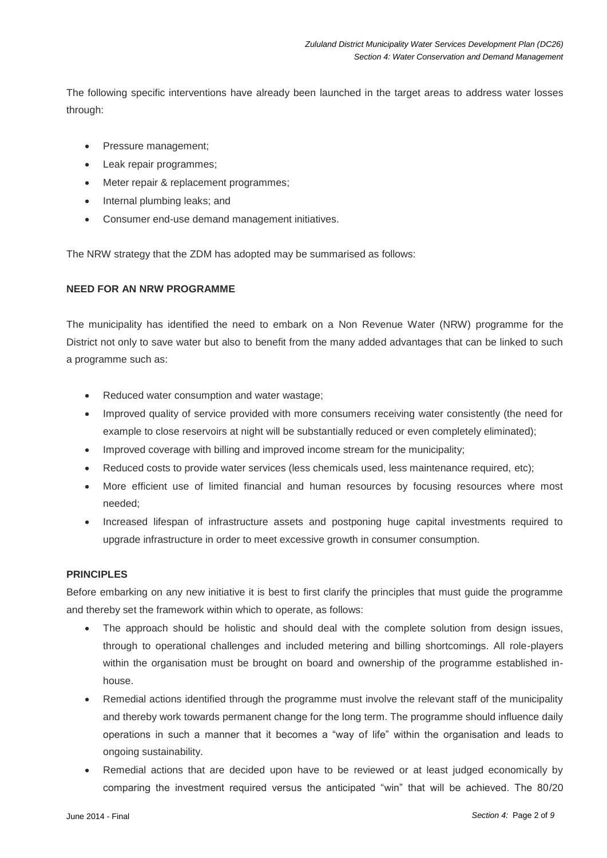The following specific interventions have already been launched in the target areas to address water losses through:

- Pressure management;
- Leak repair programmes;
- Meter repair & replacement programmes;
- Internal plumbing leaks; and
- Consumer end-use demand management initiatives.

The NRW strategy that the ZDM has adopted may be summarised as follows:

### **NEED FOR AN NRW PROGRAMME**

The municipality has identified the need to embark on a Non Revenue Water (NRW) programme for the District not only to save water but also to benefit from the many added advantages that can be linked to such a programme such as:

- Reduced water consumption and water wastage;
- Improved quality of service provided with more consumers receiving water consistently (the need for example to close reservoirs at night will be substantially reduced or even completely eliminated);
- Improved coverage with billing and improved income stream for the municipality;
- Reduced costs to provide water services (less chemicals used, less maintenance required, etc);
- More efficient use of limited financial and human resources by focusing resources where most needed;
- Increased lifespan of infrastructure assets and postponing huge capital investments required to upgrade infrastructure in order to meet excessive growth in consumer consumption.

### **PRINCIPLES**

Before embarking on any new initiative it is best to first clarify the principles that must guide the programme and thereby set the framework within which to operate, as follows:

- The approach should be holistic and should deal with the complete solution from design issues, through to operational challenges and included metering and billing shortcomings. All role-players within the organisation must be brought on board and ownership of the programme established inhouse.
- Remedial actions identified through the programme must involve the relevant staff of the municipality and thereby work towards permanent change for the long term. The programme should influence daily operations in such a manner that it becomes a "way of life" within the organisation and leads to ongoing sustainability.
- Remedial actions that are decided upon have to be reviewed or at least judged economically by comparing the investment required versus the anticipated "win" that will be achieved. The 80/20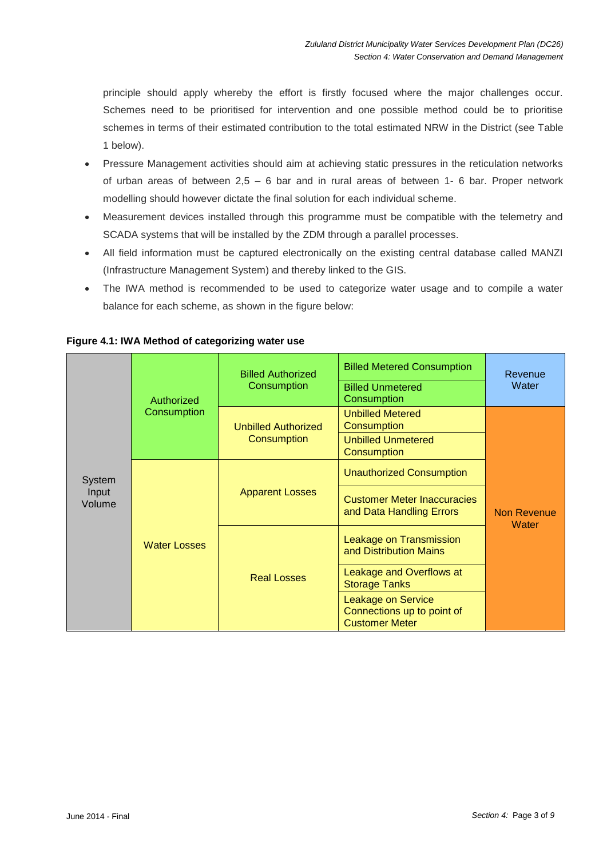principle should apply whereby the effort is firstly focused where the major challenges occur. Schemes need to be prioritised for intervention and one possible method could be to prioritise schemes in terms of their estimated contribution to the total estimated NRW in the District (see Table 1 below).

- Pressure Management activities should aim at achieving static pressures in the reticulation networks of urban areas of between 2,5 – 6 bar and in rural areas of between 1- 6 bar. Proper network modelling should however dictate the final solution for each individual scheme.
- Measurement devices installed through this programme must be compatible with the telemetry and SCADA systems that will be installed by the ZDM through a parallel processes.
- All field information must be captured electronically on the existing central database called MANZI (Infrastructure Management System) and thereby linked to the GIS.
- The IWA method is recommended to be used to categorize water usage and to compile a water balance for each scheme, as shown in the figure below:

| System<br>Input<br>Volume | Authorized<br>Consumption | <b>Billed Authorized</b><br>Consumption   | <b>Billed Metered Consumption</b><br><b>Billed Unmetered</b><br>Consumption      | Revenue<br>Water     |
|---------------------------|---------------------------|-------------------------------------------|----------------------------------------------------------------------------------|----------------------|
|                           |                           | <b>Unbilled Authorized</b><br>Consumption | <b>Unbilled Metered</b><br>Consumption                                           | Non Revenue<br>Water |
|                           |                           |                                           | <b>Unbilled Unmetered</b><br>Consumption                                         |                      |
|                           | <b>Water Losses</b>       | <b>Apparent Losses</b>                    | <b>Unauthorized Consumption</b>                                                  |                      |
|                           |                           |                                           | <b>Customer Meter Inaccuracies</b><br>and Data Handling Errors                   |                      |
|                           |                           | <b>Real Losses</b>                        | Leakage on Transmission<br>and Distribution Mains                                |                      |
|                           |                           |                                           | Leakage and Overflows at<br><b>Storage Tanks</b>                                 |                      |
|                           |                           |                                           | <b>Leakage on Service</b><br>Connections up to point of<br><b>Customer Meter</b> |                      |

**Figure 4.1: IWA Method of categorizing water use**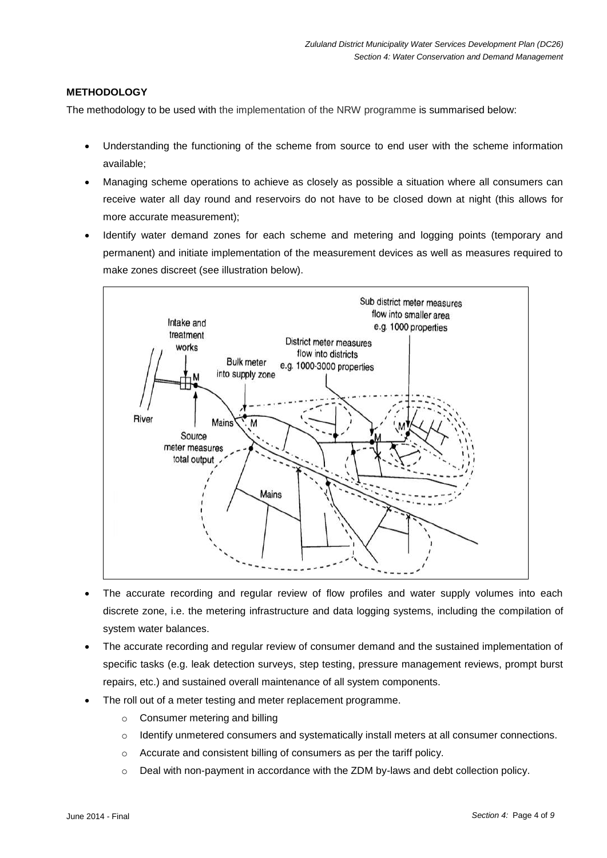# **METHODOLOGY**

The methodology to be used with the implementation of the NRW programme is summarised below:

- Understanding the functioning of the scheme from source to end user with the scheme information available;
- Managing scheme operations to achieve as closely as possible a situation where all consumers can receive water all day round and reservoirs do not have to be closed down at night (this allows for more accurate measurement);
- Identify water demand zones for each scheme and metering and logging points (temporary and permanent) and initiate implementation of the measurement devices as well as measures required to make zones discreet (see illustration below).



- The accurate recording and regular review of flow profiles and water supply volumes into each discrete zone, i.e. the metering infrastructure and data logging systems, including the compilation of system water balances.
- The accurate recording and regular review of consumer demand and the sustained implementation of specific tasks (e.g. leak detection surveys, step testing, pressure management reviews, prompt burst repairs, etc.) and sustained overall maintenance of all system components.
- The roll out of a meter testing and meter replacement programme.
	- o Consumer metering and billing
	- $\circ$  Identify unmetered consumers and systematically install meters at all consumer connections.
	- o Accurate and consistent billing of consumers as per the tariff policy.
	- $\circ$  Deal with non-payment in accordance with the ZDM by-laws and debt collection policy.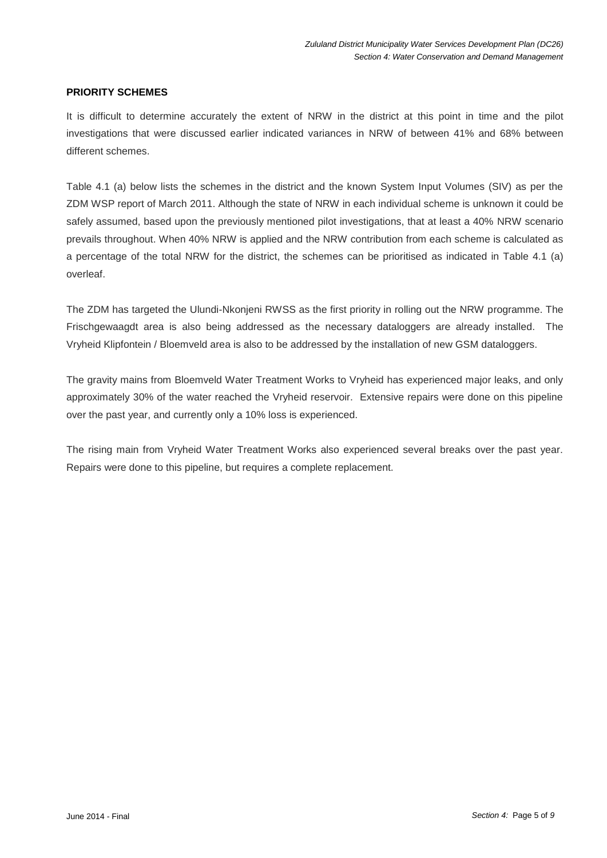## **PRIORITY SCHEMES**

It is difficult to determine accurately the extent of NRW in the district at this point in time and the pilot investigations that were discussed earlier indicated variances in NRW of between 41% and 68% between different schemes.

Table 4.1 (a) below lists the schemes in the district and the known System Input Volumes (SIV) as per the ZDM WSP report of March 2011. Although the state of NRW in each individual scheme is unknown it could be safely assumed, based upon the previously mentioned pilot investigations, that at least a 40% NRW scenario prevails throughout. When 40% NRW is applied and the NRW contribution from each scheme is calculated as a percentage of the total NRW for the district, the schemes can be prioritised as indicated in Table 4.1 (a) overleaf.

The ZDM has targeted the Ulundi-Nkonjeni RWSS as the first priority in rolling out the NRW programme. The Frischgewaagdt area is also being addressed as the necessary dataloggers are already installed. The Vryheid Klipfontein / Bloemveld area is also to be addressed by the installation of new GSM dataloggers.

The gravity mains from Bloemveld Water Treatment Works to Vryheid has experienced major leaks, and only approximately 30% of the water reached the Vryheid reservoir. Extensive repairs were done on this pipeline over the past year, and currently only a 10% loss is experienced.

The rising main from Vryheid Water Treatment Works also experienced several breaks over the past year. Repairs were done to this pipeline, but requires a complete replacement.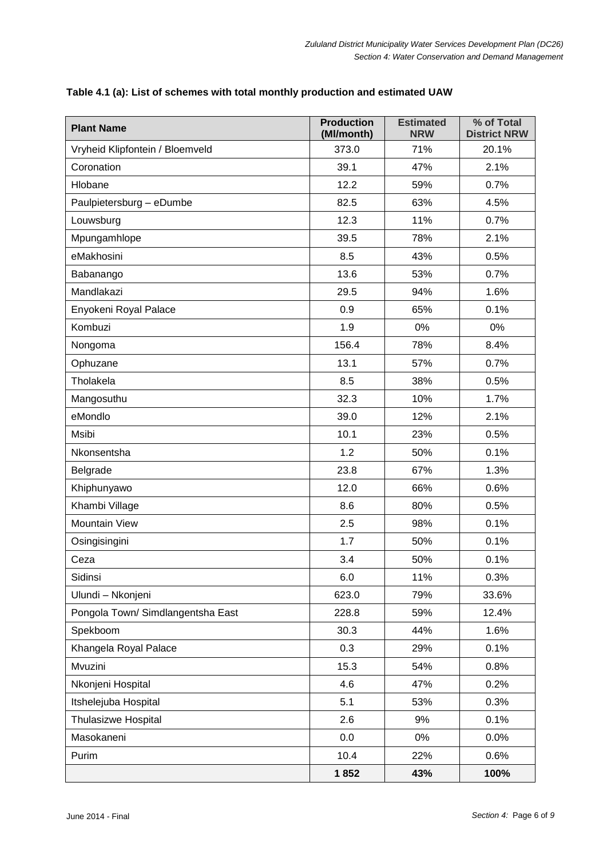| <b>Plant Name</b>                 | <b>Production</b><br>(Ml/month) | <b>Estimated</b><br><b>NRW</b> | % of Total<br><b>District NRW</b> |
|-----------------------------------|---------------------------------|--------------------------------|-----------------------------------|
| Vryheid Klipfontein / Bloemveld   | 373.0                           | 71%                            | 20.1%                             |
| Coronation                        | 39.1                            | 47%                            | 2.1%                              |
| Hlobane                           | 12.2                            | 59%                            | 0.7%                              |
| Paulpietersburg - eDumbe          | 82.5                            | 63%                            | 4.5%                              |
| Louwsburg                         | 12.3                            | 11%                            | 0.7%                              |
| Mpungamhlope                      | 39.5                            | 78%                            | 2.1%                              |
| eMakhosini                        | 8.5                             | 43%                            | 0.5%                              |
| Babanango                         | 13.6                            | 53%                            | 0.7%                              |
| Mandlakazi                        | 29.5                            | 94%                            | 1.6%                              |
| Enyokeni Royal Palace             | 0.9                             | 65%                            | 0.1%                              |
| Kombuzi                           | 1.9                             | 0%                             | 0%                                |
| Nongoma                           | 156.4                           | 78%                            | 8.4%                              |
| Ophuzane                          | 13.1                            | 57%                            | 0.7%                              |
| Tholakela                         | 8.5                             | 38%                            | 0.5%                              |
| Mangosuthu                        | 32.3                            | 10%                            | 1.7%                              |
| eMondlo                           | 39.0                            | 12%                            | 2.1%                              |
| Msibi                             | 10.1                            | 23%                            | 0.5%                              |
| Nkonsentsha                       | 1.2                             | 50%                            | 0.1%                              |
| Belgrade                          | 23.8                            | 67%                            | 1.3%                              |
| Khiphunyawo                       | 12.0                            | 66%                            | 0.6%                              |
| Khambi Village                    | 8.6                             | 80%                            | 0.5%                              |
| <b>Mountain View</b>              | 2.5                             | 98%                            | 0.1%                              |
| Osingisingini                     | 1.7                             | 50%                            | 0.1%                              |
| Ceza                              | 3.4                             | 50%                            | 0.1%                              |
| Sidinsi                           | 6.0                             | 11%                            | 0.3%                              |
| Ulundi - Nkonjeni                 | 623.0                           | 79%                            | 33.6%                             |
| Pongola Town/ Simdlangentsha East | 228.8                           | 59%                            | 12.4%                             |
| Spekboom                          | 30.3                            | 44%                            | 1.6%                              |
| Khangela Royal Palace             | 0.3                             | 29%                            | 0.1%                              |
| Mvuzini                           | 15.3                            | 54%                            | 0.8%                              |
| Nkonjeni Hospital                 | 4.6                             | 47%                            | 0.2%                              |
| Itshelejuba Hospital              | 5.1                             | 53%                            | 0.3%                              |
| <b>Thulasizwe Hospital</b>        | 2.6                             | 9%                             | 0.1%                              |
| Masokaneni                        | 0.0                             | $0\%$                          | 0.0%                              |
| Purim                             | 10.4                            | 22%                            | 0.6%                              |
|                                   | 1852                            | 43%                            | 100%                              |

# **Table 4.1 (a): List of schemes with total monthly production and estimated UAW**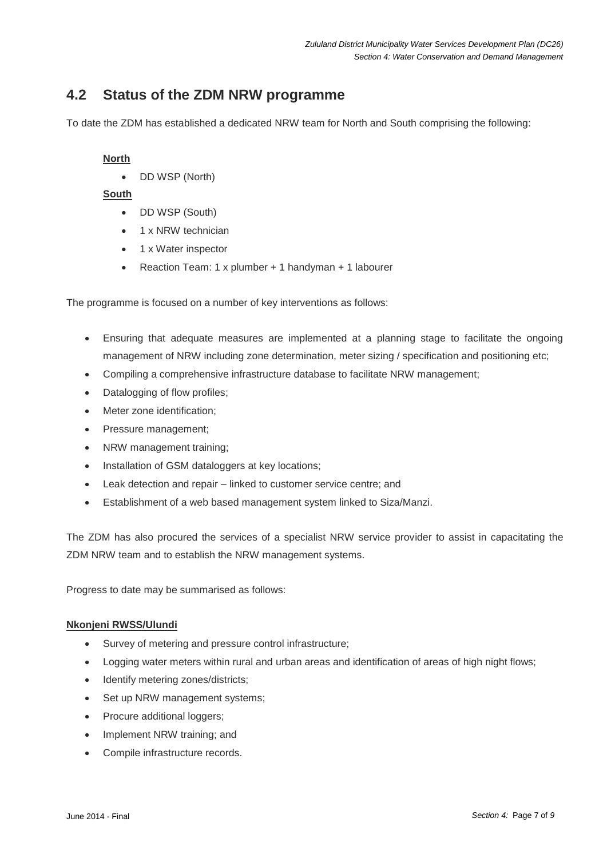# **4.2 Status of the ZDM NRW programme**

To date the ZDM has established a dedicated NRW team for North and South comprising the following:

# **North**

DD WSP (North)

# **South**

- DD WSP (South)
- 1 x NRW technician
- 1 x Water inspector
- Reaction Team: 1 x plumber + 1 handyman + 1 labourer

The programme is focused on a number of key interventions as follows:

- Ensuring that adequate measures are implemented at a planning stage to facilitate the ongoing management of NRW including zone determination, meter sizing / specification and positioning etc;
- Compiling a comprehensive infrastructure database to facilitate NRW management;
- Datalogging of flow profiles;
- Meter zone identification;
- Pressure management;
- NRW management training;
- Installation of GSM dataloggers at key locations;
- Leak detection and repair linked to customer service centre; and
- Establishment of a web based management system linked to Siza/Manzi.

The ZDM has also procured the services of a specialist NRW service provider to assist in capacitating the ZDM NRW team and to establish the NRW management systems.

Progress to date may be summarised as follows:

### **Nkonjeni RWSS/Ulundi**

- Survey of metering and pressure control infrastructure;
- Logging water meters within rural and urban areas and identification of areas of high night flows;
- Identify metering zones/districts;
- Set up NRW management systems;
- Procure additional loggers;
- Implement NRW training; and
- Compile infrastructure records.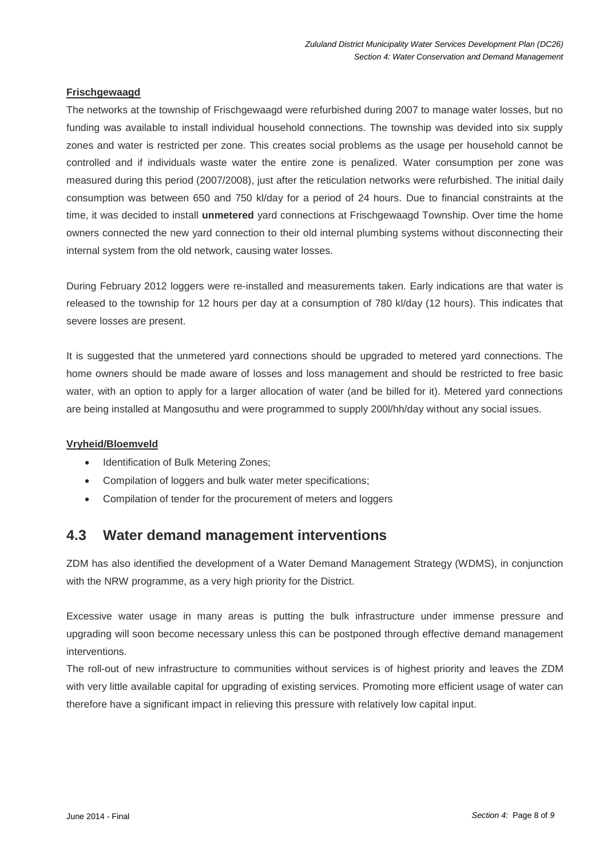# **Frischgewaagd**

The networks at the township of Frischgewaagd were refurbished during 2007 to manage water losses, but no funding was available to install individual household connections. The township was devided into six supply zones and water is restricted per zone. This creates social problems as the usage per household cannot be controlled and if individuals waste water the entire zone is penalized. Water consumption per zone was measured during this period (2007/2008), just after the reticulation networks were refurbished. The initial daily consumption was between 650 and 750 kl/day for a period of 24 hours. Due to financial constraints at the time, it was decided to install **unmetered** yard connections at Frischgewaagd Township. Over time the home owners connected the new yard connection to their old internal plumbing systems without disconnecting their internal system from the old network, causing water losses.

During February 2012 loggers were re-installed and measurements taken. Early indications are that water is released to the township for 12 hours per day at a consumption of 780 kl/day (12 hours). This indicates that severe losses are present.

It is suggested that the unmetered yard connections should be upgraded to metered yard connections. The home owners should be made aware of losses and loss management and should be restricted to free basic water, with an option to apply for a larger allocation of water (and be billed for it). Metered yard connections are being installed at Mangosuthu and were programmed to supply 200l/hh/day without any social issues.

### **Vryheid/Bloemveld**

- Identification of Bulk Metering Zones;
- Compilation of loggers and bulk water meter specifications;
- Compilation of tender for the procurement of meters and loggers

# **4.3 Water demand management interventions**

ZDM has also identified the development of a Water Demand Management Strategy (WDMS), in conjunction with the NRW programme, as a very high priority for the District.

Excessive water usage in many areas is putting the bulk infrastructure under immense pressure and upgrading will soon become necessary unless this can be postponed through effective demand management interventions.

The roll-out of new infrastructure to communities without services is of highest priority and leaves the ZDM with very little available capital for upgrading of existing services. Promoting more efficient usage of water can therefore have a significant impact in relieving this pressure with relatively low capital input.